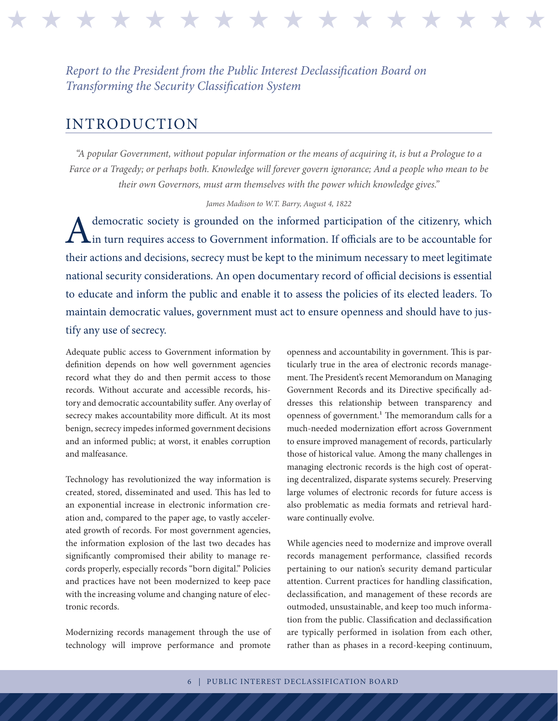## *Report to the President from the Public Interest Declassification Board on Transforming the Security Classification System*

## INTRODUCTION

*"A popular Government, without popular information or the means of acquiring it, is but a Prologue to a Farce or a Tragedy; or perhaps both. Knowledge will forever govern ignorance; And a people who mean to be their own Governors, must arm themselves with the power which knowledge gives."* 

\* \* \* \* \* \* \* \* \* \* \* \* \*

## *James Madison to W.T. Barry, August 4, 1822*

democratic society is grounded on the informed participation of the citizenry, which<br>in turn requires access to Government information. If officials are to be accountable for in turn requires access to Government information. If officials are to be accountable for their actions and decisions, secrecy must be kept to the minimum necessary to meet legitimate national security considerations. An open documentary record of official decisions is essential to educate and inform the public and enable it to assess the policies of its elected leaders. To maintain democratic values, government must act to ensure openness and should have to justify any use of secrecy.

Adequate public access to Government information by definition depends on how well government agencies record what they do and then permit access to those records. Without accurate and accessible records, history and democratic accountability suffer. Any overlay of secrecy makes accountability more difficult. At its most benign, secrecy impedes informed government decisions and an informed public; at worst, it enables corruption and malfeasance.

Technology has revolutionized the way information is created, stored, disseminated and used. This has led to an exponential increase in electronic information creation and, compared to the paper age, to vastly accelerated growth of records. For most government agencies, the information explosion of the last two decades has significantly compromised their ability to manage records properly, especially records "born digital." Policies and practices have not been modernized to keep pace with the increasing volume and changing nature of electronic records.

Modernizing records management through the use of technology will improve performance and promote

openness and accountability in government. This is particularly true in the area of electronic records management. The President's recent Memorandum on Managing Government Records and its Directive specifically addresses this relationship between transparency and openness of government.<sup>1</sup> The memorandum calls for a much-needed modernization effort across Government to ensure improved management of records, particularly those of historical value. Among the many challenges in managing electronic records is the high cost of operating decentralized, disparate systems securely. Preserving large volumes of electronic records for future access is also problematic as media formats and retrieval hardware continually evolve.

While agencies need to modernize and improve overall records management performance, classified records pertaining to our nation's security demand particular attention. Current practices for handling classification, declassification, and management of these records are outmoded, unsustainable, and keep too much information from the public. Classification and declassification are typically performed in isolation from each other, rather than as phases in a record-keeping continuum,

6 | PUBLIC INTEREST DECLASSIFICATION BOARD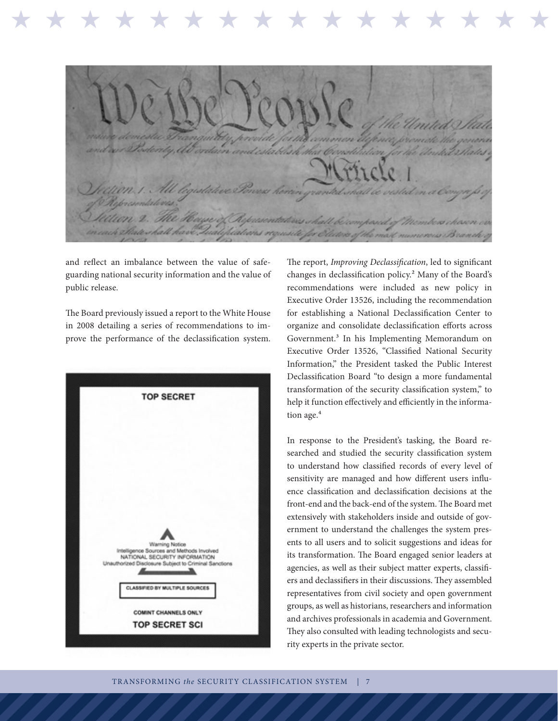terity, Ab d establish that Constitution All legislative Power herrin granted shall be visted in n. 2. The Hayse of Aspassentatives shall be to Pateshall have

and reflect an imbalance between the value of safeguarding national security information and the value of public release.

\* \* \* \* \* \* \* \* \* \* \* \* \* \* \* \* \*

The Board previously issued a report to the White House in 2008 detailing a series of recommendations to improve the performance of the declassification system.



The report, *Improving Declassification*, led to significant changes in declassification policy.2 Many of the Board's recommendations were included as new policy in Executive Order 13526, including the recommendation for establishing a National Declassification Center to organize and consolidate declassification efforts across Government.3 In his Implementing Memorandum on Executive Order 13526, "Classified National Security Information," the President tasked the Public Interest Declassification Board "to design a more fundamental transformation of the security classification system," to help it function effectively and efficiently in the information age.<sup>4</sup>

In response to the President's tasking, the Board researched and studied the security classification system to understand how classified records of every level of sensitivity are managed and how different users influence classification and declassification decisions at the front-end and the back-end of the system. The Board met extensively with stakeholders inside and outside of government to understand the challenges the system presents to all users and to solicit suggestions and ideas for its transformation. The Board engaged senior leaders at agencies, as well as their subject matter experts, classifiers and declassifiers in their discussions. They assembled representatives from civil society and open government groups, as well as historians, researchers and information and archives professionals in academia and Government. They also consulted with leading technologists and security experts in the private sector.